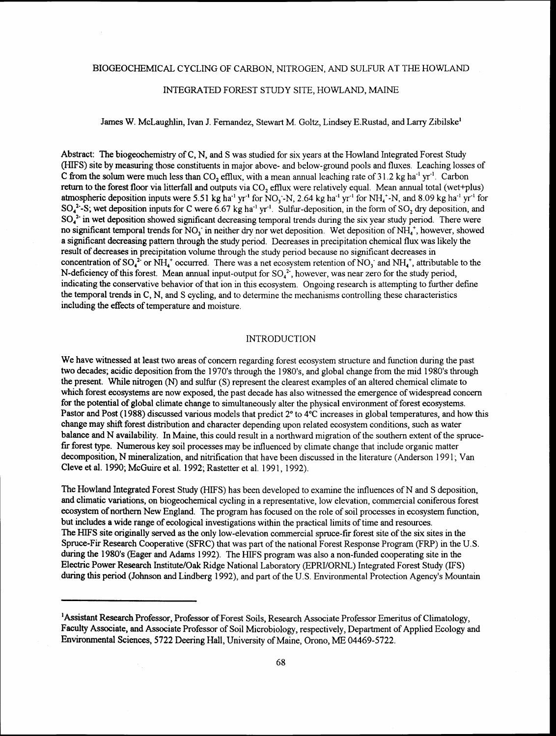# BIOGEOCHEMICAL CYCLING OF CARBON, NITROGEN, AND SULFUR AT THE HOWLAND

### INTEGRATED FOREST STUDY SITE, HOWLAND, MAINE

James W. McLaughlin, Ivan J. Fernandez, Stewart M. Goltz, Lindsey E.Rustad, and Lany Zibilske'

Abstract: The biogeochemistry of C, N, and S was studied for six years at the Howland Integrated Forest Study (HIFS) site by measuring those constituents in major above- and below-ground pools and fluxes. Leaching losses of C from the solum were much less than CO, efflux, with a mean annual leaching rate of  $31.2$  kg ha<sup>-1</sup> yr<sup>-1</sup>. Carbon return to the forest floor via litterfall and outputs via  $CO<sub>2</sub>$  efflux were relatively equal. Mean annual total (wet+plus) atmospheric deposition inputs were 5.51 kg ha<sup>-1</sup> yr<sup>-1</sup> for NO<sub>3</sub>-N, 2.64 kg ha<sup>-1</sup> yr<sup>-1</sup> for NH<sub>4</sub><sup>+</sup>-N, and 8.09 kg ha<sup>-1</sup> yr<sup>-1</sup> for  $SO_4^2$ -S; wet deposition inputs for C were 6.67 kg ha<sup>-1</sup> yr<sup>-1</sup>. Sulfur-deposition, in the form of SO<sub>2</sub> dry deposition, and  $SO_4^2$  in wet deposition showed significant decreasing temporal trends during the six year study period. There were no significant temporal trends for  $NO_3$  in neither dry nor wet deposition. Wet deposition of  $NH_4^*$ , however, showed a significant decreasing pattern through the study period. Decreases in precipitation chemical flux was likely the result of decreases in precipitation volume through the study period because no significant decreases in concentration of SO<sub>4</sub><sup>2</sup> or NH<sub>4</sub><sup>+</sup> occurred. There was a net ecosystem retention of NO<sub>3</sub> and NH<sub>4</sub><sup>+</sup>, attributable to the N-deficiency of this forest. Mean annual input-output for  $SO_4^2$ , however, was near zero for the study period, indicating the conservative behavior of that ion in this ecosystem. Ongoing research is attempting to further define the temporal trends in C, N, and S cycling, and to determine the mechanisms controlling these characteristics including the effects of temperature and moisture.

#### INTRODUCTION

We have witnessed at least two areas of concern regarding forest ecosystem structure and function during the past two decades; acidic deposition from the 1970's through the 1980's, and global change from the mid 1980's through the present. While nitrogen (N) and sulfur (S) represent the clearest examples of an altered chemical climate to which forest ecosystems are now exposed, the past decade has also witnessed the emergence of widespread concern for the potential of global climate change to simultaneously alter the physical environment of forest ecosystems. Pastor and Post (1988) discussed various models that predict 2° to 4°C increases in global temperatures, and how this change may shift forest distribution and character depending upon related ecosystem conditions, such as water balance and N availability. In Maine, this could result in a northward migration of the southern extent of the sprucefir forest type. Numerous key soil processes may be influenced by climate change that include organic matter decomposition, N mineralization, and nitrification that have been discussed in the literature (Anderson 1991; Van Cleve et al. 1990; McGuire et al. 1992; Rastetter et al. 1991, 1992).

The Howland Integrated Forest Study (HIFS) has been developed to examine the influences of N and S deposition, and climatic variations, on biogeochemical cycling in a representative, low elevation, commercial coniferous forest ecosystem of northern New England. The program has focused on the role of soil processes in ecosystem function, but includes a wide range of ecological investigations within the practical limits of time and resources. The HIFS site originally served as the only low-elevation commercial spruce-fir forest site of the six sites in the Spruce-Fir Research Cooperative (SFRC) that was part of the national Forest Response Program (FRP) in the U.S. during the 1980's (Eager and Adarns 1992). The HIFS program was also a non-funded cooperating site in the Electric Power Research Institute/Oak Ridge National Laboratory (EPRI/ORNL) Integrated Forest Study (IFS) during this period (Johnson and Lindberg 1992), and part of the U.S. Environmental Protection Agency's Mountain

<sup>&#</sup>x27;Assistant Research Professor, Professor of Forest Soils, Research Associate Professor Emeritus of Climatology, Faculty Associate, and Associate Professor of Soil Microbiology, respectively, Department of Applied Ecology and Environmental Sciences, 5722 Deering Hall, University of Maine, Orono, ME 04469-5722.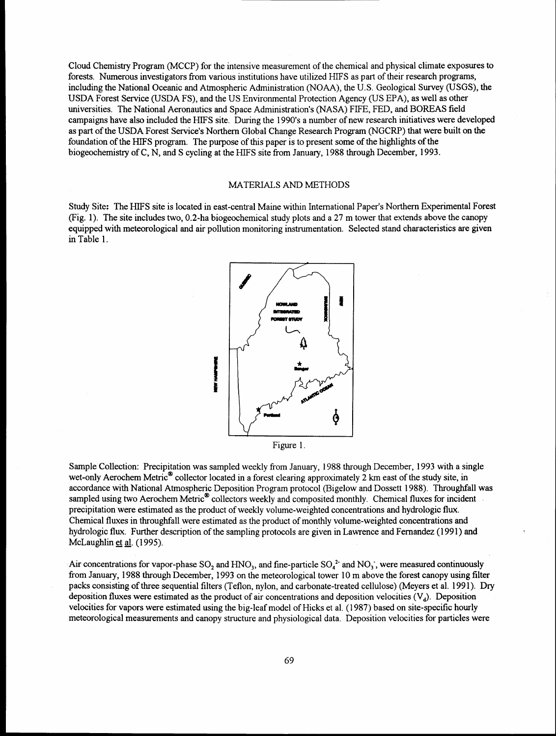Cloud Chemistry Program (MCCP) for the intensive measurement of the chemical and physical climate exposures to forests. Numerous investigators from various institutions have utilized HIFS as part of their research programs, including the National Oceanic and Atmospheric Administration (NOAA), the U.S. Geological Survey (USGS), the USDA Forest Service (USDA FS), and the US Environmental Protection Agency (US EPA), as well as other universities. The National Aeronautics and Space Administration's (NASA) FIFE, FED, and BOREAS field campaigns have also included the HIFS site. During the 1990's a number of new research initiatives were developed as part of the USDA Forest Service's Northern Global Change Research Program (NGCRP) that were built on **the**  foundation of the HIFS program. The purpose of this paper is to present some of the highlights of the biogeochernistry of C, N, and S cycling at the HIFS site from January, 1988 through December, 1993.

### MATERIALS AND METHODS

Study Site: The HIFS site is located in east-central Maine within International Paper's Northern Experimental Forest (Fig. 1). The site includes two, 0.2-ha biogeochemical study plots and a 27 m tower that extends above the canopy equipped with meteorological and air pollution monitoring instrumentation. Selected stand characteristics are given in Table 1.



Figure 1.

Sample Collection: Precipitation was sampled weekly from January, 1988 through December, 1993 with a single wet-only Aerochem Metric<sup>®</sup> collector located in a forest clearing approximately 2 km east of the study site, in accordance with National Atmospheric Deposition Program protocol (Bigelow and Dossett 1 988). Throughfall was sampled using two Aerochem Metric<sup>®</sup> collectors weekly and composited monthly. Chemical fluxes for incident precipitation were estimated as the product of weekly volume-weighted concentrations and hydrologic flux. Chemical fluxes in throughfall were estimated as the product of monthly volume-weighted concentrations and hydrologic flux. Further description of the sampling protocols are given in Lawrence and Fernandez (1991) and McLaughlin et al. (1995).

Air concentrations for vapor-phase  $SO_2$  and HNO<sub>3</sub>, and fine-particle  $SO_4^2$  and NO<sub>3</sub>, were measured continuously from January, 1 988 through December, 1993 on the meteorological tower 10 m above the forest canopy using filter packs consisting of three sequential filters (Teflon, nylon, and carbonate-treated cellulose) (Meyers et al. 1991). Dry deposition fluxes were estimated as the product of air concentrations and deposition velocities  $(V<sub>A</sub>)$ . Deposition velocities for vapors were estimated using the big-leaf model of Hicks et al. (1 987) based on site-specific hourly meteorological measurements and canopy structure and physiological data. Deposition velocities for particles were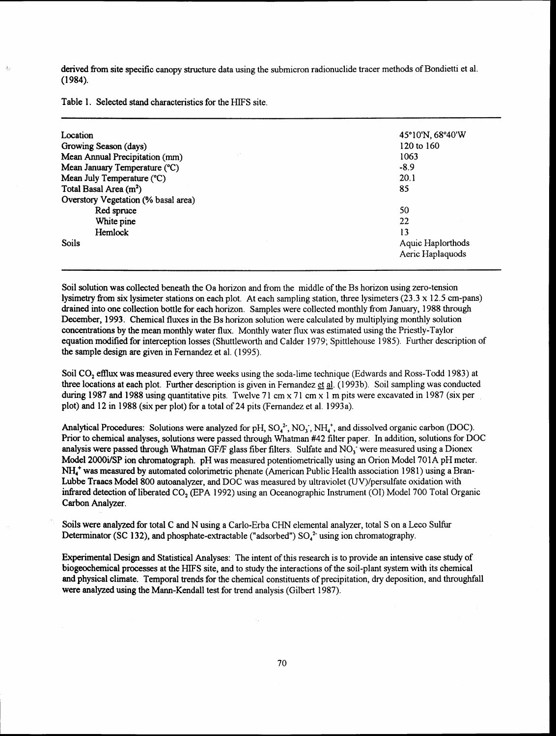derived from site specific canopy structure data using the submicron radionuclide tracer methods of Bondietti et al.  $(1984).$ 

Table 1. Selected stand characteristics for the HIFS site.

| Location                                           | 45°10'N, 68°40'W  |  |
|----------------------------------------------------|-------------------|--|
| Growing Season (days)                              | 120 to 160        |  |
| $\mathbb{R}^{N}$<br>Mean Annual Precipitation (mm) | 1063              |  |
| Mean January Temperature (°C)                      | $-8.9$            |  |
| Mean July Temperature (°C)                         | 20.1              |  |
| Total Basal Area (m <sup>2</sup> )                 | 85                |  |
| Overstory Vegetation (% basal area)                |                   |  |
| Red spruce                                         | 50                |  |
| White pine                                         | 22                |  |
| Hemlock                                            | 13                |  |
| <b>Soils</b>                                       | Aquic Haplorthods |  |
|                                                    | Aeric Haplaquods  |  |

Soil solution was collected beneath the Oa horizon and from the middle of the Bs horizon using zero-tension lysimetry fiom six lysimeter stations on each plot. At each sampling station, three lysimeters (23.3 x 12.5 cm-pans) drained into one collection bottle for each horizon. Samples were collected monthly from January, 1988 through December, 1993. Chemical fluxes in the Bs horizon solution were calculated by multiplying monthly solution concentrations by the mean monthly water flux. Monthly water flux was estimated using the Priestly-Taylor equation modified for interception losses (Shuttleworth and Calder 1979; Spittlehouse 1985). Further description of the sample design are given in Fernandez et al. (1 995).

Soil CO, efflux was measured every three weeks using the soda-lime technique (Edwards and Ross-Todd 1983) at three locations at each plot. Further description is given in Fernandez **gt** 4. (1 993b). Soil sampling was conducted during 1987 and 1988 using quantitative pits. Twelve 71 cm  $\times$  71 cm  $\times$  1 m pits were excavated in 1987 (six per plot) and 12 in 1988 (six per plot) for a total of **24** pits (Fernandez et al. 1993a).

Analytical Procedures: Solutions were analyzed for pH,  $SO_4^2$ ,  $NO_3$ ,  $NH_4^+$ , and dissolved organic carbon (DOC). Prior to chemical analyses, solutions were passed through Whatman **#42** filter paper. In addition, solutions for DOC analysis were passed through Whatman GF/F glass fiber filters. Sulfate and  $NO<sub>3</sub>$  were measured using a Dionex Model 2000i/SP ion chromatograph. pH was measured potentiometrically using an Orion Model 701A pH meter. **NH:** was measured by automated colorimetric phenate (American Public Health association 1981) using a Bran-Lubbe Traacs Model 800 autoanalyzer, and DOC was measured by ultraviolet (UV)/persulfate oxidation with **infrared** detection of liberated CO, (EPA 1992) using an Oceanographic Instrument (01) Model 700 Total Organic Carbon Analyzer.

Soils were analyzed for total C and N using a Carlo-Erba CHN elemental analyzer, total S on a Leco Sulfur Determinator (SC 132), and phosphate-extractable ("adsorbed")  $SO<sub>4</sub><sup>2</sup>$  using ion chromatography.

Experimental Design and Statistical Analyses: The intent of this research is to provide an intensive case study of biogeochemical processes at the HIFS site, and to study the interactions of the soil-plant system with its chemical and physical climate. Temporal trends for the chemical constituents of precipitation, dry deposition, and throughfall were analyzed using the Mann-Kendall test for trend analysis (Gilbert 1987).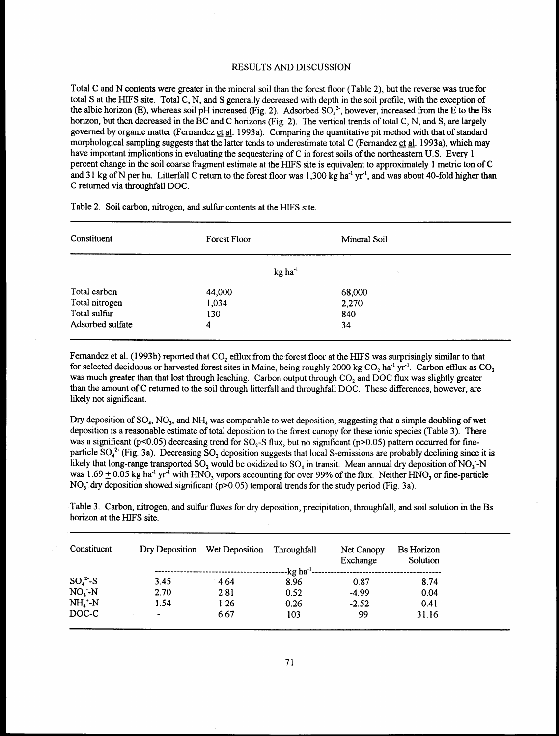## RESULTS AND DISCUSSION

Total C and N contents were greater in the mineral soil than the forest floor (Table 2), but the reverse was true for total S at the HIFS site. Total C, N, and S generally decreased with depth in the soil profile, with the exception of the albic horizon (E), whereas soil pH increased (Fig. 2). Adsorbed  $SO_4^2$ , however, increased from the E to the Bs horizon, but then decreased in the BC and C horizons (Fig. 2). The vertical trends of total C, N, and S, are largely governed by organic matter (Fernandez **gt A.** 1993a). Comparing the quantitative pit method with that of standard morphological sampling suggests that the latter tends to underestimate total C (Fernandez et al. 1993a), which may have important implications in evaluating the sequestering of C in forest soils of the northeastern U.S. **Every** 1 percent change in the soil coarse fragment estimate at the HIFS site is equivalent to approximately 1 metric ton of C and 31 kg of N per ha. Litterfall C return to the forest floor was 1,300 kg ha<sup>-1</sup> yr<sup>-1</sup>, and was about 40-fold higher than C returned via throughfall DOC.

| Constituent      | Forest Floor          | Mineral Soil |
|------------------|-----------------------|--------------|
|                  | $kg$ ha <sup>-1</sup> | $\sim$ .     |
| Total carbon     | 44,000                | 68,000       |
| Total nitrogen   | 1,034                 | 2,270        |
| Total sulfur     | 130                   | 840          |
| Adsorbed sulfate | 4                     | 34           |

Table 2. Soil carbon, nitrogen, and sulfiu contents at the HIFS site.

Fernandez et al. (1993b) reported that CO, efflux from the forest floor at the HIFS was surprisingly similar to that for selected deciduous or harvested forest sites in Maine, being roughly 2000 kg CO, ha-' yr-'. Carbon efflux as CO, was much greater than that lost through leaching. Carbon output through CO, and DOC flux was slightly greater than the amount of C returned to the soil through litterfall and throughfall DOC. These differences, however, are likely not significant.

Dry deposition of SO,, NO,, and NH, was comparable to wet deposition, suggesting that a simple doubling of wet deposition is a reasonable estimate of total deposition to the forest canopy for these ionic species (Table 3). There was a significant (p<0.05) decreasing trend for  $SO_2$ -S flux, but no significant (p>0.05) pattern occurred for fineparticle  $SO_4^2$  (Fig. 3a). Decreasing SO, deposition suggests that local S-emissions are probably declining since it is likely that long-range transported SO, would be oxidized to  $SO_4$  in transit. Mean annual dry deposition of NO<sub>3</sub>-N was 1.69  $\pm$  0.05 kg ha<sup>-1</sup> yr<sup>-1</sup> with HNO, vapors accounting for over 99% of the flux. Neither HNO, or fine-particle NO<sub>3</sub> dry deposition showed significant (p>0.05) temporal trends for the study period (Fig. 3a).

Table 3. Carbon, nitrogen, and sulfur fluxes for dry deposition, precipitation, throughfall, and soil solution in the Bs horizon at the HIFS site. horizon at the HIFS site.

| Constituent            |                | Dry Deposition Wet Deposition | Throughfall               | Net Canopy<br>Exchange | <b>Bs</b> Horizon<br>Solution |
|------------------------|----------------|-------------------------------|---------------------------|------------------------|-------------------------------|
|                        |                |                               | $-kg$ ha <sup>-1</sup> -- |                        |                               |
| $SO42-S$               | 3.45           | 4.64                          | 8.96                      | 0.87                   | 8.74                          |
| $NO, -N$               | 2.70           | 2.81                          | 0.52                      | $-4.99$                | 0.04                          |
| $NH_4$ <sup>+</sup> -N | 1.54           | 1.26                          | 0.26                      | $-2.52$                | 0.41                          |
| DOC-C                  | $\blacksquare$ | 6.67                          | 103                       | 99                     | 31.16                         |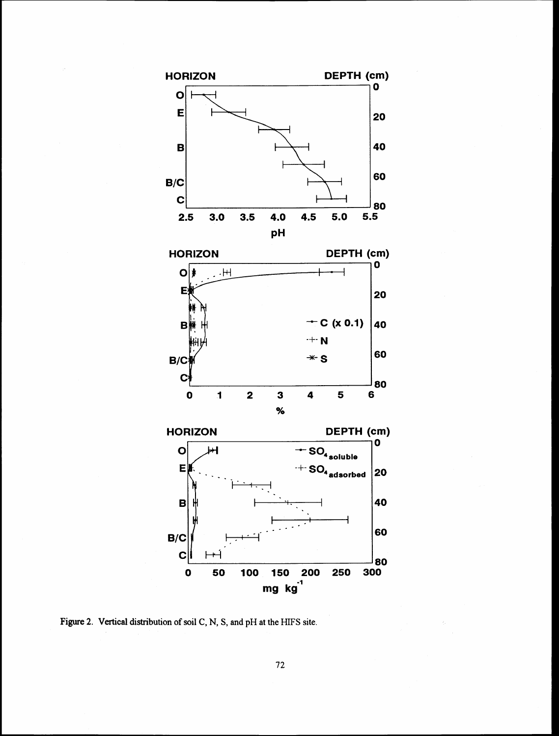

**Figure 2. Vertical distribution of soil C, N, S, and pH at the HIFS site.**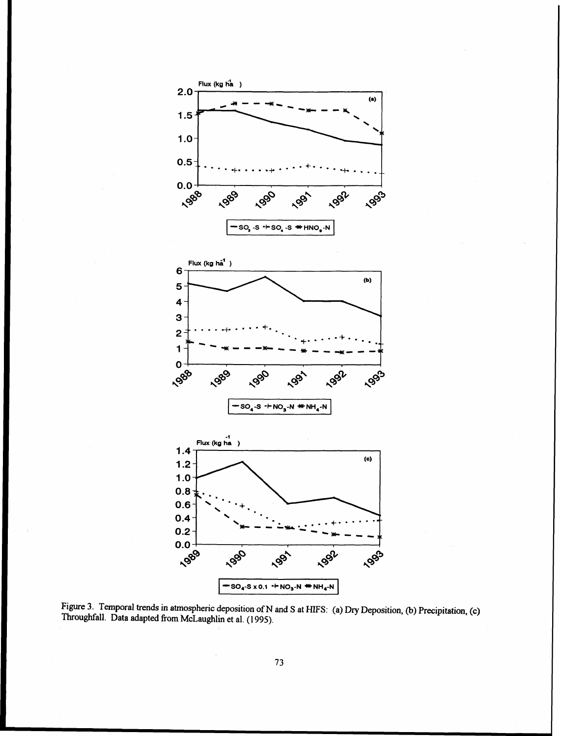

Figure 3. Temporal trends in atmospheric deposition of N and S at HIFS: (a) Dry Deposition, (b) Precipitation, (c) **Throughfall. Data adapted from McLaughlin et al. (1 995).**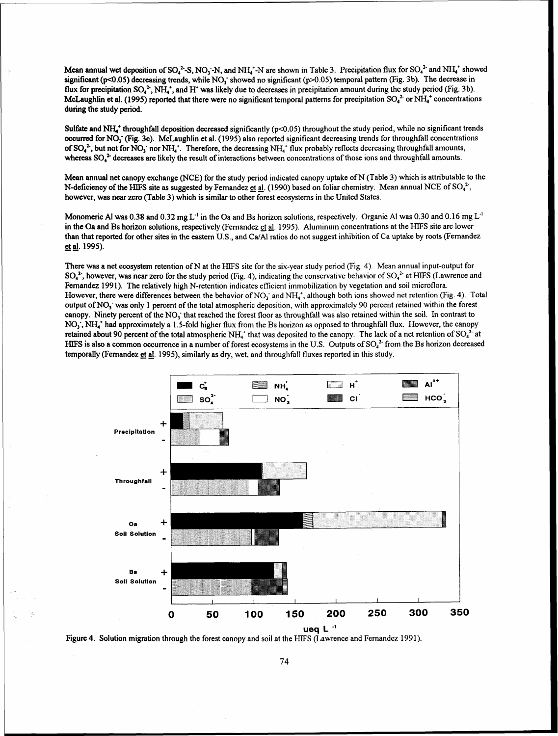**Mean annual wet deposition of SO<sub>4</sub><sup>2</sup>-S, NO<sub>3</sub>-N, and NH<sub>4</sub><sup>+</sup>-N are shown in Table 3. Precipitation flux for SO<sub>4</sub><sup>2</sup> and NH<sub>4</sub><sup>+</sup> showed** significant ( $p<0.05$ ) decreasing trends, while NO<sub>3</sub> showed no significant ( $p>0.05$ ) temporal pattern (Fig. 3b). The decrease in flux for precipitation SO<sub>4</sub><sup>2</sup>, NH<sub>4</sub><sup>+</sup>, and H<sup>+</sup> was likely due to decreases in precipitation amount during the study period (Fig. 3b). McLaughlin et al. (1995) reported that there were no significant temporal patterns for precipitation  $SO_4^2$  or NH $_4^*$  concentrations during the study period.

Sulfate and NH,' throughfall deposition decreased significantly (p<0.05) throughout the study period, while no significant trends occurred for NO,' (Fig. 3c). McLaughlin et al. (1995) also reported significant decreasing trends for throughfall concentrations of SO,", but not for NO,- nor **NH,'.** Therefore, the decreasing **NH,'** flux probably reflects decreasing throughfall amounts, whereas  $SO_4^2$  decreases are likely the result of interactions between concentrations of those ions and throughfall amounts.

Mean annual net canopy exchange **(NCE)** for the study period indicated canopy uptake of N (Table 3) which is attributable to the N-deficiency of the HIFS site as suggested by Fernandez et al. (1990) based on foliar chemistry. Mean annual NCE of SO<sub>4</sub><sup>2</sup>, however, was near zero (Table 3) which is similar to other forest ecosystems in the United States.

Monomeric A1 was 0.38 and 0.32 mg L<sup>-1</sup> in the Oa and Bs horizon solutions, respectively. Organic A1 was 0.30 and 0.16 mg L<sup>-1</sup> in the Oa and Bs horizon solutions, respectively (Fernandez et al. 1995). Aluminum concentrations at the HIFS site are lower than that reported for other sites in the eastern U.S., and Ca/Al ratios do not suggest inhibition of Ca uptake by roots (Fernandez et al. 1995).

There was a net ecosystem retention of N at the HIFS site for the six-year study period (Fig. 4). Mean annual input-output for  $SO_4^2$ , however, was near zero for the study period (Fig. 4), indicating the conservative behavior of  $SO_4^2$  at HIFS (Lawrence and Fernandez 1991). The relatively high N-retention indicates efficient immobilization by vegetation and soil microflora. However, there were differences between the behavior of  $NO_3^-$  and  $NH_4^*$ , although both ions showed net retention (Fig. 4). Total output of  $NO<sub>1</sub>$  was only 1 percent of the total atmospheric deposition, with approximately 90 percent retained within the forest canopy. Ninety percent of the NO<sub>1</sub> that reached the forest floor as throughfall was also retained within the soil. In contrast to  $NO<sub>i</sub>$ ,  $NH<sub>i</sub>$ <sup>+</sup> had approximately a 1.5-fold higher flux from the Bs horizon as opposed to throughfall flux. However, the canopy retained about 90 percent of the total atmospheric NH<sub>4</sub><sup>+</sup> that was deposited to the canopy. The lack of a net retention of SO<sub>4</sub><sup>2</sup> at HIFS is also a common occurrence in a number of forest ecosystems in the U.S. Outputs of  $SO<sub>4</sub><sup>2</sup>$  from the Bs horizon decreased temporally (Fernandez et al. 1995), similarly as dry, wet, and throughfall fluxes reported in this study.



Figure 4. Solution migration through the forest canopy and soil at the HIFS (Lawrence and Fernandez 1991).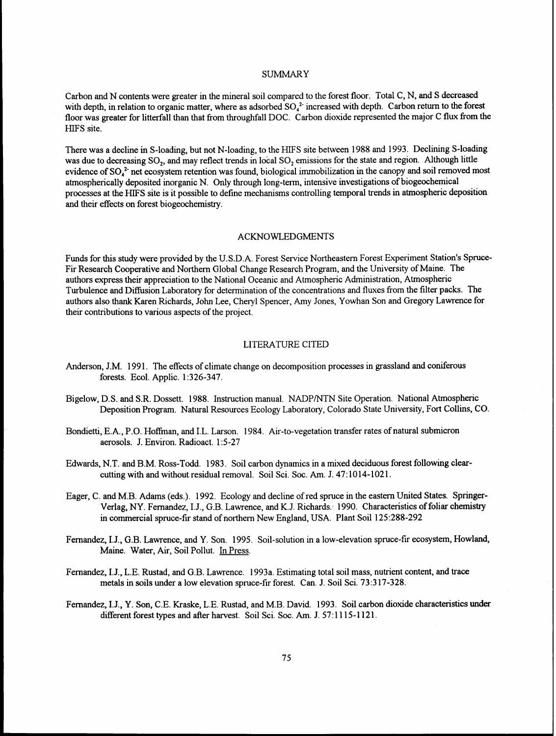### **SUMMARY**

Carbon and N contents were greater in the mineral soil compared to the forest floor. Total C, N, and S decreased with depth, in relation to organic matter, where as adsorbed  $SO<sub>4</sub><sup>2</sup>$  increased with depth. Carbon return to the forest floor was greater for litterfall than that from throughfall DOC. Carbon dioxide represented the major C flux from the HIFS site.

There was a decline in S-loading, but not N-loading, to the HIFS site between 1988 and 1993. Declining S-loading was due to decreasing SO<sub>2</sub>, and may reflect trends in local SO<sub>2</sub> emissions for the state and region. Although little evidence of  $SO<sub>4</sub>$ <sup>2</sup> net ecosystem retention was found, biological immobilization in the canopy and soil removed most atmospherically deposited inorganic N. Only through long-term, intensive investigations of biogeochemical processes at the HIFS site is it possible to define mechanisms controlling temporal trends in atmospheric deposition and their effects on forest biogeochemistry.

### ACKNOWLEDGMENTS

Funds for this study were provided by the U.S.D.A. Forest Service Northeastern Forest Experiment Station's Spruce-Fir Research Cooperative and Northern Global Change Research Program, and the University of Maine. The authors express their appreciation to the National Oceanic and Atmospheric Administration, Atmospheric Turbulence and Diffusion Laboratory for determination of the concentrations and fluxes from the filter packs. The authors also thank Karen Richards, John Lee, Cheryl Spencer, **Amy** Jones, Yowhan Son and Gregory Lawrence for their contributions to various aspects of the project.

### LITERATURE CITED

- Anderson, J.M. 1991. The effects of climate change on decomposition processes in grassland and coniferous forests. Ecol. Applic. 1 :326-347.
- Bigelow, D.S. and S.R. Dossett. 1988. Instruction manual. NADPMTN Site Operation. National Atmospheric Deposition Program. Natural Resources Ecology Laboratory, Colorado State University, Fort Collins, CO.
- Bondietti, E.A., P.O. Hoffman, and I.L. Larson. 1984. Air-to-vegetation transfer rates of natural submicron aerosols. J. Environ. Radioact. 1:5-27
- Edwards, N.T. and B.M. Ross-Todd. 1983. Soil carbon dynamics in a mixed deciduous forest following clearcutting with and without residual removal. Soil Sci. Soc. **Am.** J. 47: 10 14- 102 1.
- Eager, C. and M.B. Adams (eds.). 1992. Ecology and decline of red spruce in the eastern United States. Springer-Verlag, NY. Fernandez, I.J., G.B. Lawrence, and K.J. Richards. 1990. Characteristics of foliar chemistry in commercial spruce-fir stand of northern New England, USA. Plant Soil 125:288-292
- Fernandez, I.J., G.B. Lawrence, and Y. Son. 1995. Soil-solution in a low-elevation spruce-fir ecosystem, Howland, Maine. Water, Air, Soil Pollut. In Press.
- Fernandez, I.J., L.E. Rustad, and G.B. Lawrence. 1993a. Estimating total soil mass, nutrient content, and trace metals in soils under a low elevation spruce-fir forest. Can. J. Soil Sci. 73:317-328.
- Fernandez, I.J., Y. Son, C.E. Kraske, L.E. Rustad, and M.B. David. 1993. Soil carbon dioxide characteristics **under**  different forest types and after harvest. Soil Sci. Soc. **Am.** J. 57: 1 1 15-1 121.